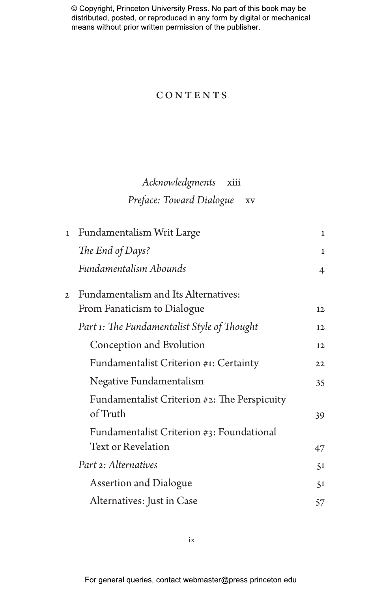#### CONTENTS

## *Acknowledgments* xiii *Preface: Toward Dialogue* xv

|                | 1 Fundamentalism Writ Large                  | $\mathbf{1}$ |
|----------------|----------------------------------------------|--------------|
|                | The End of Days?                             | $\mathbf{1}$ |
|                | Fundamentalism Abounds                       | 4            |
| $\overline{2}$ | Fundamentalism and Its Alternatives:         |              |
|                | From Fanaticism to Dialogue                  | 12           |
|                | Part 1: The Fundamentalist Style of Thought  | 12           |
|                | Conception and Evolution                     | 12           |
|                | Fundamentalist Criterion #1: Certainty       | 22           |
|                | Negative Fundamentalism                      | 35           |
|                | Fundamentalist Criterion #2: The Perspicuity |              |
|                | of Truth                                     | 39           |
|                | Fundamentalist Criterion #3: Foundational    |              |
|                | <b>Text or Revelation</b>                    | 47           |
|                | Part 2: Alternatives                         | 51           |
|                | <b>Assertion and Dialogue</b>                | 51           |
|                | Alternatives: Just in Case                   | 57           |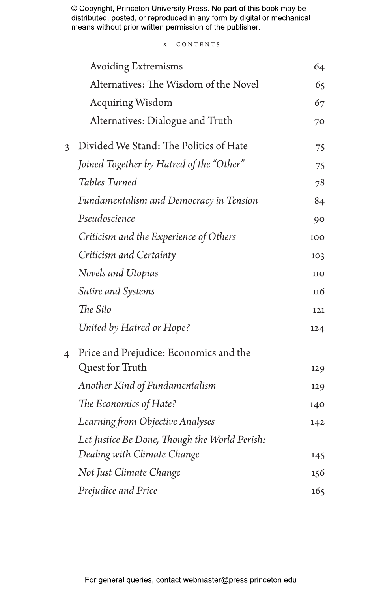x CONTENTS

|                | <b>Avoiding Extremisms</b>                    | 64  |
|----------------|-----------------------------------------------|-----|
|                | Alternatives: The Wisdom of the Novel         | 65  |
|                | <b>Acquiring Wisdom</b>                       | 67  |
|                | Alternatives: Dialogue and Truth              | 70  |
| $\overline{3}$ | Divided We Stand: The Politics of Hate        | 75  |
|                | Joined Together by Hatred of the "Other"      | 75  |
|                | <b>Tables Turned</b>                          | 78  |
|                | Fundamentalism and Democracy in Tension       | 84  |
|                | Pseudoscience                                 | 90  |
|                | Criticism and the Experience of Others        | 100 |
|                | Criticism and Certainty                       | 103 |
|                | Novels and Utopias                            | 110 |
|                | Satire and Systems                            | 116 |
|                | The Silo                                      | 121 |
|                | United by Hatred or Hope?                     | 124 |
| $\overline{4}$ | Price and Prejudice: Economics and the        |     |
|                | Quest for Truth                               | 129 |
|                | Another Kind of Fundamentalism                | 129 |
|                | The Economics of Hate?                        | 140 |
|                | Learning from Objective Analyses              | 142 |
|                | Let Justice Be Done, Though the World Perish: |     |
|                | Dealing with Climate Change                   | 145 |
|                | Not Just Climate Change                       | 156 |
|                | Prejudice and Price                           | 165 |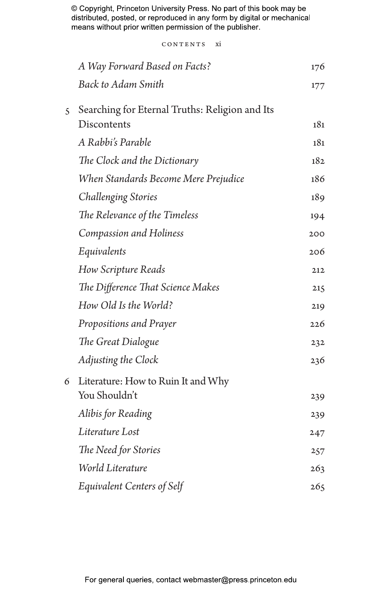#### CONTENTS xi

|   | A Way Forward Based on Facts?                  | 176 |
|---|------------------------------------------------|-----|
|   | <b>Back to Adam Smith</b>                      | 177 |
| 5 | Searching for Eternal Truths: Religion and Its |     |
|   | Discontents                                    | 181 |
|   | A Rabbi's Parable                              | 181 |
|   | The Clock and the Dictionary                   | 182 |
|   | When Standards Become Mere Prejudice           | 186 |
|   | Challenging Stories                            | 189 |
|   | The Relevance of the Timeless                  | 194 |
|   | Compassion and Holiness                        | 200 |
|   | Equivalents                                    | 206 |
|   | How Scripture Reads                            | 212 |
|   | The Difference That Science Makes              | 215 |
|   | How Old Is the World?                          | 219 |
|   | Propositions and Prayer                        | 226 |
|   | The Great Dialogue                             | 232 |
|   | Adjusting the Clock                            | 236 |
| 6 | Literature: How to Ruin It and Why             |     |
|   | You Shouldn't                                  | 239 |
|   | Alibis for Reading                             | 239 |
|   | Literature Lost                                | 247 |
|   | The Need for Stories                           | 257 |
|   | World Literature                               | 263 |
|   | <b>Equivalent Centers of Self</b>              | 265 |
|   |                                                |     |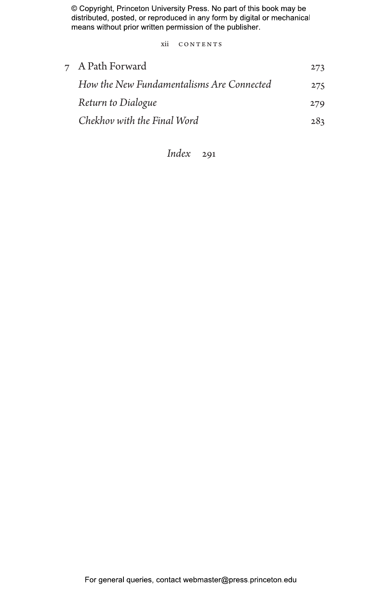xii CONTENTS

| 7 A Path Forward                          | 273 |
|-------------------------------------------|-----|
| How the New Fundamentalisms Are Connected | 275 |
| Return to Dialogue                        | 279 |
| Chekhov with the Final Word               | 283 |

*Index* 291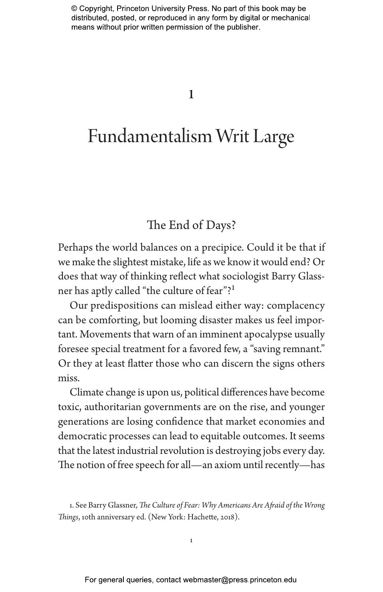1

# Fundamentalism Writ Large

## The End of Days?

Perhaps the world balances on a precipice. Could it be that if we make the slightest mistake, life as we know it would end? Or does that way of thinking reflect what sociologist Barry Glassner has aptly called "the culture of fear"?1

Our predispositions can mislead either way: complacency can be comforting, but looming disaster makes us feel important. Movements that warn of an imminent apocalypse usually foresee special treatment for a favored few, a "saving remnant." Or they at least flatter those who can discern the signs others miss.

Climate change is upon us, political differences have become toxic, authoritarian governments are on the rise, and younger generations are losing confidence that market economies and democratic processes can lead to equitable outcomes. It seems that the latest industrial revolution is destroying jobs every day. The notion of free speech for all—an axiom until recently—has

<sup>1.</sup> See Barry Glassner, *The Culture of Fear: Why Americans Are Afraid of the Wrong Things*, 10th anniversary ed. (New York: Hachette, 2018).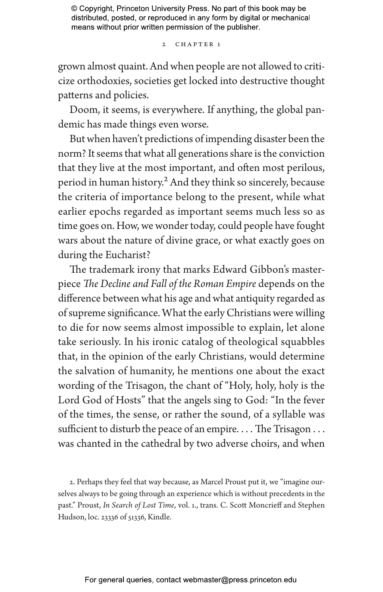2 CHAPTER 1

grown almost quaint. And when people are not allowed to criticize orthodoxies, societies get locked into destructive thought patterns and policies.

Doom, it seems, is everywhere. If anything, the global pandemic has made things even worse.

But when haven't predictions of impending disaster been the norm? It seems that what all generations share is the conviction that they live at the most important, and often most perilous, period in human history.2 And they think so sincerely, because the criteria of importance belong to the present, while what earlier epochs regarded as important seems much less so as time goes on. How, we wonder today, could people have fought wars about the nature of divine grace, or what exactly goes on during the Eucharist?

The trademark irony that marks Edward Gibbon's masterpiece *The Decline and Fall of the Roman Empire* depends on the difference between what his age and what antiquity regarded as of supreme significance. What the early Christians were willing to die for now seems almost impossible to explain, let alone take seriously. In his ironic catalog of theological squabbles that, in the opinion of the early Christians, would determine the salvation of humanity, he mentions one about the exact wording of the Trisagon, the chant of "Holy, holy, holy is the Lord God of Hosts" that the angels sing to God: "In the fever of the times, the sense, or rather the sound, of a syllable was sufficient to disturb the peace of an empire.... The Trisagon ... was chanted in the cathedral by two adverse choirs, and when

2. Perhaps they feel that way because, as Marcel Proust put it, we "imagine ourselves always to be going through an experience which is without precedents in the past." Proust, *In Search of Lost Time*, vol. 1., trans. C. Scott Moncrieff and Stephen Hudson, loc. 23336 of 51336, Kindle.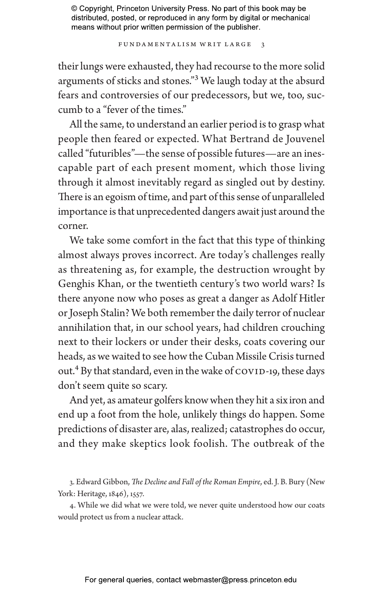FUNDAMENTALISM WRIT LARGE 3

their lungs were exhausted, they had recourse to the more solid arguments of sticks and stones."3 We laugh today at the absurd fears and controversies of our predecessors, but we, too, succumb to a "fever of the times."

All the same, to understand an earlier period is to grasp what people then feared or expected. What Bertrand de Jouvenel called "futuribles"—the sense of possible futures—are an inescapable part of each present moment, which those living through it almost inevitably regard as singled out by destiny. There is an egoism of time, and part of this sense of unparalleled importance is that unprecedented dangers await just around the corner.

We take some comfort in the fact that this type of thinking almost always proves incorrect. Are today's challenges really as threatening as, for example, the destruction wrought by Genghis Khan, or the twentieth century's two world wars? Is there anyone now who poses as great a danger as Adolf Hitler or Joseph Stalin? We both remember the daily terror of nuclear annihilation that, in our school years, had children crouching next to their lockers or under their desks, coats covering our heads, as we waited to see how the Cuban Missile Crisis turned out.<sup>4</sup> By that standard, even in the wake of COVID-19, these days don't seem quite so scary.

And yet, as amateur golfers know when they hit a six iron and end up a foot from the hole, unlikely things do happen. Some predictions of disaster are, alas, realized; catastrophes do occur, and they make skeptics look foolish. The outbreak of the

<sup>3.</sup> Edward Gibbon, *The Decline and Fall of the Roman Empire*, ed. J. B. Bury (New York: Heritage, 1846), 1557.

<sup>4.</sup> While we did what we were told, we never quite understood how our coats would protect us from a nuclear attack.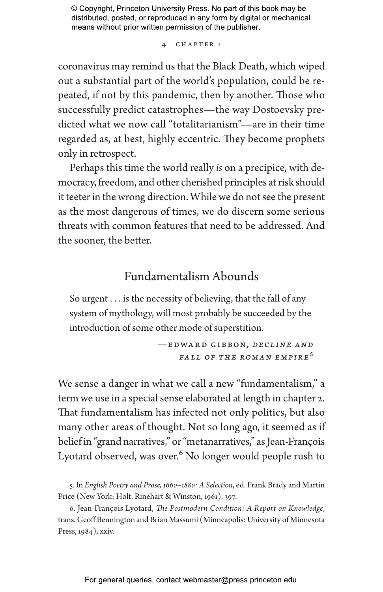4 chapter 1

coronavirus may remind us that the Black Death, which wiped out a substantial part of the world's population, could be repeated, if not by this pandemic, then by another. Those who successfully predict catastrophes—the way Dostoevsky predicted what we now call "totalitarianism"—are in their time regarded as, at best, highly eccentric. They become prophets only in retrospect.

Perhaps this time the world really *is* on a precipice, with democracy, freedom, and other cherished principles at risk should it teeter in the wrong direction. While we do not see the present as the most dangerous of times, we do discern some serious threats with common features that need to be addressed. And the sooner, the better.

### Fundamentalism Abounds

So urgent . . . is the necessity of believing, that the fall of any system of mythology, will most probably be succeeded by the introduction of some other mode of superstition.

```
-EDWARD GIBBON, DECLINE AND
Fall of the Roman Empire5
```
We sense a danger in what we call a new "fundamentalism," a term we use in a special sense elaborated at length in chapter 2. That fundamentalism has infected not only politics, but also many other areas of thought. Not so long ago, it seemed as if belief in "grand narratives," or "metanarratives," as Jean-François Lyotard observed, was over.<sup>6</sup> No longer would people rush to

5. In *English Poetry and Prose, 1660–1880: A Selection*, ed. Frank Brady and Martin Price (New York: Holt, Rinehart & Winston, 1961), 397.

6. Jean-François Lyotard, *The Postmodern Condition: A Report on Knowledge*, trans. Geoff Bennington and Brian Massumi (Minneapolis: University of Minnesota Press, 1984), xxiv.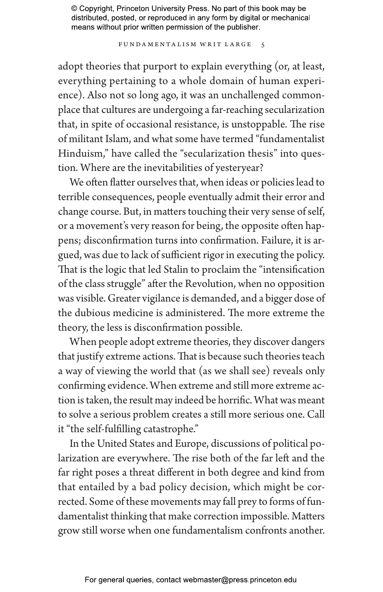#### FUNDAMENTALISM WRIT LARGE 5

adopt theories that purport to explain everything (or, at least, everything pertaining to a whole domain of human experience). Also not so long ago, it was an unchallenged commonplace that cultures are undergoing a far-reaching secularization that, in spite of occasional resistance, is unstoppable. The rise of militant Islam, and what some have termed "fundamentalist Hinduism," have called the "secularization thesis" into question. Where are the inevitabilities of yesteryear?

We often flatter ourselves that, when ideas or policies lead to terrible consequences, people eventually admit their error and change course. But, in matters touching their very sense of self, or a movement's very reason for being, the opposite often happens; disconfirmation turns into confirmation. Failure, it is argued, was due to lack of sufficient rigor in executing the policy. That is the logic that led Stalin to proclaim the "intensification of the class struggle" after the Revolution, when no opposition was visible. Greater vigilance is demanded, and a bigger dose of the dubious medicine is administered. The more extreme the theory, the less is disconfirmation possible.

When people adopt extreme theories, they discover dangers that justify extreme actions. That is because such theories teach a way of viewing the world that (as we shall see) reveals only confirming evidence. When extreme and still more extreme action is taken, the result may indeed be horrific. What was meant to solve a serious problem creates a still more serious one. Call it "the self-fulfilling catastrophe."

In the United States and Europe, discussions of political polarization are everywhere. The rise both of the far left and the far right poses a threat different in both degree and kind from that entailed by a bad policy decision, which might be corrected. Some of these movements may fall prey to forms of fundamentalist thinking that make correction impossible. Matters grow still worse when one fundamentalism confronts another.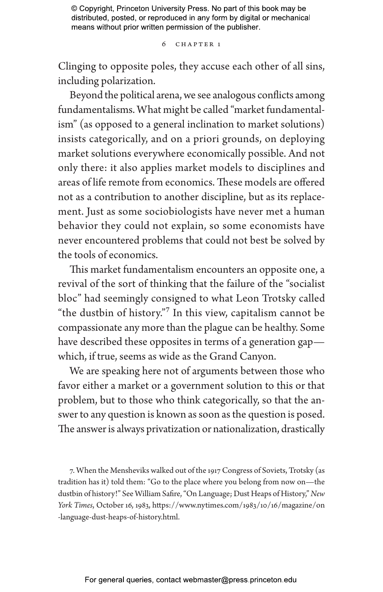6 chapter 1

Clinging to opposite poles, they accuse each other of all sins, including polarization.

Beyond the political arena, we see analogous conflicts among fundamentalisms. What might be called "market fundamentalism" (as opposed to a general inclination to market solutions) insists categorically, and on a priori grounds, on deploying market solutions everywhere economically possible. And not only there: it also applies market models to disciplines and areas of life remote from economics. These models are offered not as a contribution to another discipline, but as its replacement. Just as some sociobiologists have never met a human behavior they could not explain, so some economists have never encountered problems that could not best be solved by the tools of economics.

This market fundamentalism encounters an opposite one, a revival of the sort of thinking that the failure of the "socialist bloc" had seemingly consigned to what Leon Trotsky called "the dustbin of history."7 In this view, capitalism cannot be compassionate any more than the plague can be healthy. Some have described these opposites in terms of a generation gap which, if true, seems as wide as the Grand Canyon.

We are speaking here not of arguments between those who favor either a market or a government solution to this or that problem, but to those who think categorically, so that the answer to any question is known as soon as the question is posed. The answer is always privatization or nationalization, drastically

7. When the Mensheviks walked out of the 1917 Congress of Soviets, Trotsky (as tradition has it) told them: "Go to the place where you belong from now on—the dustbin of history!" See William Safire, "On Language; Dust Heaps of History," *New York Times*, October 16, 1983, https://www.nytimes.com/1983/10/16/magazine/on -language-dust-heaps-of-history.html.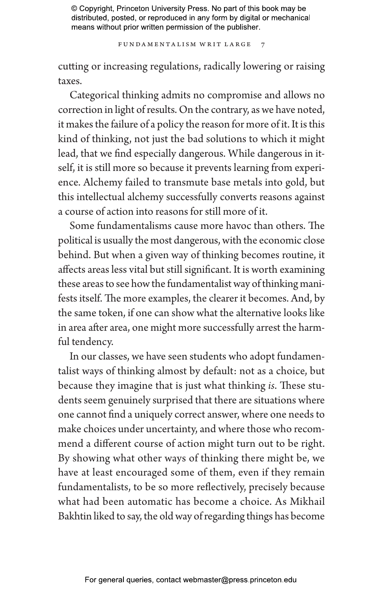FUNDAMENTALISM WRIT LARGE 7

cutting or increasing regulations, radically lowering or raising taxes.

Categorical thinking admits no compromise and allows no correction in light of results. On the contrary, as we have noted, it makes the failure of a policy the reason for more of it. It is this kind of thinking, not just the bad solutions to which it might lead, that we find especially dangerous. While dangerous in itself, it is still more so because it prevents learning from experience. Alchemy failed to transmute base metals into gold, but this intellectual alchemy successfully converts reasons against a course of action into reasons for still more of it.

Some fundamentalisms cause more havoc than others. The political is usually the most dangerous, with the economic close behind. But when a given way of thinking becomes routine, it affects areas less vital but still significant. It is worth examining these areas to see how the fundamentalist way of thinking manifests itself. The more examples, the clearer it becomes. And, by the same token, if one can show what the alternative looks like in area after area, one might more successfully arrest the harmful tendency.

In our classes, we have seen students who adopt fundamentalist ways of thinking almost by default: not as a choice, but because they imagine that is just what thinking *is*. These students seem genuinely surprised that there are situations where one cannot find a uniquely correct answer, where one needs to make choices under uncertainty, and where those who recommend a different course of action might turn out to be right. By showing what other ways of thinking there might be, we have at least encouraged some of them, even if they remain fundamentalists, to be so more reflectively, precisely because what had been automatic has become a choice. As Mikhail Bakhtin liked to say, the old way of regarding things has become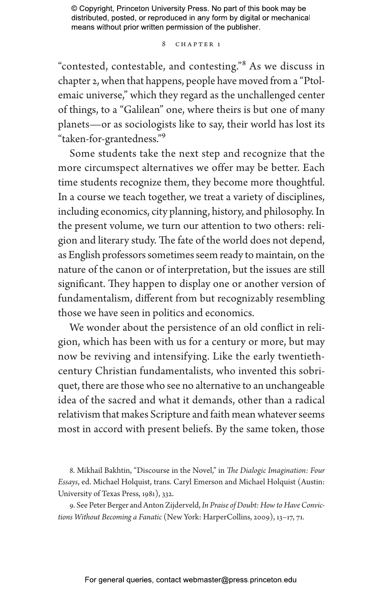#### 8 CHAPTER 1

"contested, contestable, and contesting."8 As we discuss in chapter 2, when that happens, people have moved from a "Ptolemaic universe," which they regard as the unchallenged center of things, to a "Galilean" one, where theirs is but one of many planets—or as sociologists like to say, their world has lost its "taken-for-grantedness."9

Some students take the next step and recognize that the more circumspect alternatives we offer may be better. Each time students recognize them, they become more thoughtful. In a course we teach together, we treat a variety of disciplines, including economics, city planning, history, and philosophy. In the present volume, we turn our attention to two others: religion and literary study. The fate of the world does not depend, as English professors sometimes seem ready to maintain, on the nature of the canon or of interpretation, but the issues are still significant. They happen to display one or another version of fundamentalism, different from but recognizably resembling those we have seen in politics and economics.

We wonder about the persistence of an old conflict in religion, which has been with us for a century or more, but may now be reviving and intensifying. Like the early twentiethcentury Christian fundamentalists, who invented this sobriquet, there are those who see no alternative to an unchangeable idea of the sacred and what it demands, other than a radical relativism that makes Scripture and faith mean whatever seems most in accord with present beliefs. By the same token, those

8. Mikhail Bakhtin, "Discourse in the Novel," in *The Dialogic Imagination: Four Essays*, ed. Michael Holquist, trans. Caryl Emerson and Michael Holquist (Austin: University of Texas Press, 1981), 332.

9. See Peter Berger and Anton Zijderveld, *In Praise of Doubt: How to Have Convictions Without Becoming a Fanatic* (New York: HarperCollins, 2009), 13–17, 71.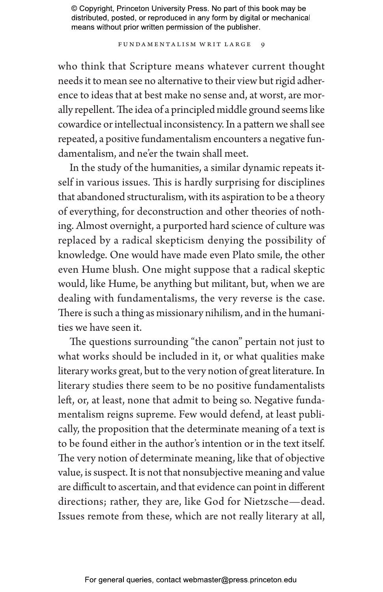FUNDAMENTALISM WRIT LARGE 9

who think that Scripture means whatever current thought needs it to mean see no alternative to their view but rigid adherence to ideas that at best make no sense and, at worst, are morally repellent. The idea of a principled middle ground seems like cowardice or intellectual inconsistency. In a pattern we shall see repeated, a positive fundamentalism encounters a negative fundamentalism, and ne'er the twain shall meet.

In the study of the humanities, a similar dynamic repeats itself in various issues. This is hardly surprising for disciplines that abandoned structuralism, with its aspiration to be a theory of everything, for deconstruction and other theories of nothing. Almost overnight, a purported hard science of culture was replaced by a radical skepticism denying the possibility of knowledge. One would have made even Plato smile, the other even Hume blush. One might suppose that a radical skeptic would, like Hume, be anything but militant, but, when we are dealing with fundamentalisms, the very reverse is the case. There is such a thing as missionary nihilism, and in the humanities we have seen it.

The questions surrounding "the canon" pertain not just to what works should be included in it, or what qualities make literary works great, but to the very notion of great literature. In literary studies there seem to be no positive fundamentalists left, or, at least, none that admit to being so. Negative fundamentalism reigns supreme. Few would defend, at least publically, the proposition that the determinate meaning of a text is to be found either in the author's intention or in the text itself. The very notion of determinate meaning, like that of objective value, is suspect. It is not that nonsubjective meaning and value are difficult to ascertain, and that evidence can point in different directions; rather, they are, like God for Nietzsche—dead. Issues remote from these, which are not really literary at all,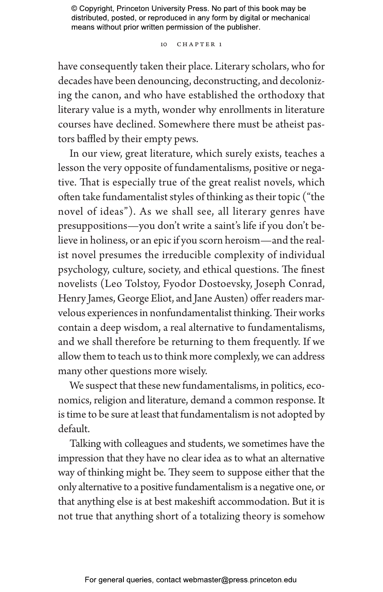10 CHAPTER 1

have consequently taken their place. Literary scholars, who for decades have been denouncing, deconstructing, and decolonizing the canon, and who have established the orthodoxy that literary value is a myth, wonder why enrollments in literature courses have declined. Somewhere there must be atheist pastors baffled by their empty pews.

In our view, great literature, which surely exists, teaches a lesson the very opposite of fundamentalisms, positive or negative. That is especially true of the great realist novels, which often take fundamentalist styles of thinking as their topic ("the novel of ideas"). As we shall see, all literary genres have presuppositions—you don't write a saint's life if you don't believe in holiness, or an epic if you scorn heroism—and the realist novel presumes the irreducible complexity of individual psychology, culture, society, and ethical questions. The finest novelists (Leo Tolstoy, Fyodor Dostoevsky, Joseph Conrad, Henry James, George Eliot, and Jane Austen) offer readers marvelous experiences in nonfundamentalist thinking. Their works contain a deep wisdom, a real alternative to fundamentalisms, and we shall therefore be returning to them frequently. If we allow them to teach us to think more complexly, we can address many other questions more wisely.

We suspect that these new fundamentalisms, in politics, economics, religion and literature, demand a common response. It is time to be sure at least that fundamentalism is not adopted by default.

Talking with colleagues and students, we sometimes have the impression that they have no clear idea as to what an alternative way of thinking might be. They seem to suppose either that the only alternative to a positive fundamentalism is a negative one, or that anything else is at best makeshift accommodation. But it is not true that anything short of a totalizing theory is somehow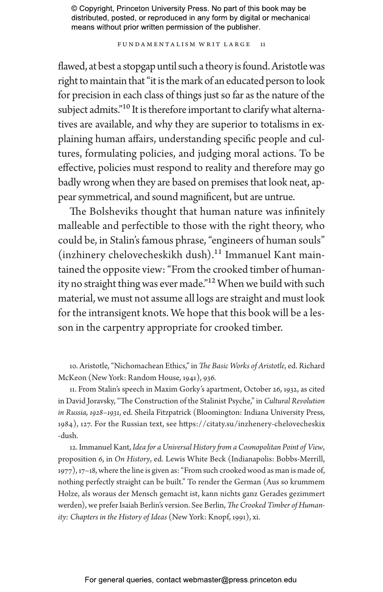FUNDAMENTALISM WRIT LARGE 11

flawed, at best a stopgap until such a theory is found. Aristotle was right to maintain that "it is the mark of an educated person to look for precision in each class of things just so far as the nature of the subject admits."<sup>10</sup> It is therefore important to clarify what alternatives are available, and why they are superior to totalisms in explaining human affairs, understanding specific people and cultures, formulating policies, and judging moral actions. To be effective, policies must respond to reality and therefore may go badly wrong when they are based on premises that look neat, appear symmetrical, and sound magnificent, but are untrue.

The Bolsheviks thought that human nature was infinitely malleable and perfectible to those with the right theory, who could be, in Stalin's famous phrase, "engineers of human souls"  $(inzhinery$  chelovecheskikh dush).<sup>11</sup> Immanuel Kant maintained the opposite view: "From the crooked timber of humanity no straight thing was ever made."12 When we build with such material, we must not assume all logs are straight and must look for the intransigent knots. We hope that this book will be a lesson in the carpentry appropriate for crooked timber.

10. Aristotle, "Nichomachean Ethics," in *The Basic Works of Aristotle*, ed. Richard McKeon (New York: Random House, 1941), 936.

11. From Stalin's speech in Maxim Gorky's apartment, October 26, 1932, as cited in David Joravsky, "The Construction of the Stalinist Psyche," in *Cultural Revolution in Russia, 1928–1931*, ed. Sheila Fitzpatrick (Bloomington: Indiana University Press, 1984), 127. For the Russian text, see https://citaty.su/inzhenery-chelovecheskix -dush.

12. Immanuel Kant, *Idea for a Universal History from a Cosmopolitan Point of View*, proposition 6, in *On History*, ed. Lewis White Beck (Indianapolis: Bobbs-Merrill, 1977), 17–18, where the line is given as: "From such crooked wood as man is made of, nothing perfectly straight can be built." To render the German (Aus so krummem Holze, als woraus der Mensch gemacht ist, kann nichts ganz Gerades gezimmert werden), we prefer Isaiah Berlin's version. See Berlin, *The Crooked Timber of Humanity: Chapters in the History of Ideas* (New York: Knopf, 1991), xi.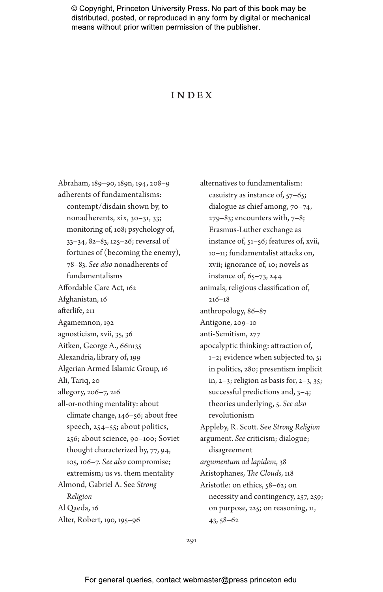#### Index

Abraham, 189–90, 189n, 194, 208–9 adherents of fundamentalisms: contempt/disdain shown by, to nonadherents, xix, 30–31, 33; monitoring of, 108; psychology of, 33–34, 82–83, 125–26; reversal of fortunes of (becoming the enemy), 78–83. *See also* nonadherents of fundamentalisms Affordable Care Act, 162 Afghanistan, 16 afterlife, 211 Agamemnon, 192 agnosticism, xvii, 35, 36 Aitken, George A., 66n135 Alexandria, library of, 199 Algerian Armed Islamic Group, 16 Ali, Tariq, 20 allegory, 206–7, 216 all-or-nothing mentality: about climate change, 146–56; about free speech, 254–55; about politics, 256; about science, 90–100; Soviet thought characterized by, 77, 94, 105, 106–7. *See also* compromise; extremism; us vs. them mentality Almond, Gabriel A. See *Strong Religion* Al Qaeda, 16 Alter, Robert, 190, 195–96

alternatives to fundamentalism: casuistry as instance of, 57–65; dialogue as chief among, 70–74, 279–83; encounters with, 7–8; Erasmus-Luther exchange as instance of, 51–56; features of, xvii, 10–11; fundamentalist attacks on, xvii; ignorance of, 10; novels as instance of, 65–73, 244 animals, religious classification of, 216–18 anthropology, 86–87 Antigone, 209–10 anti-Semitism, 277 apocalyptic thinking: attraction of, 1–2; evidence when subjected to, 5; in politics, 280; presentism implicit in,  $2-3$ ; religion as basis for,  $2-3$ ,  $35$ ; successful predictions and, 3–4; theories underlying, 5. *See also* revolutionism Appleby, R. Scott. See *Strong Religion* argument. *See* criticism; dialogue; disagreement *argumentum ad lapidem*, 38 Aristophanes, *The Clouds*, 118 Aristotle: on ethics, 58–62; on necessity and contingency, 257, 259; on purpose, 225; on reasoning, 11, 43, 58–62

291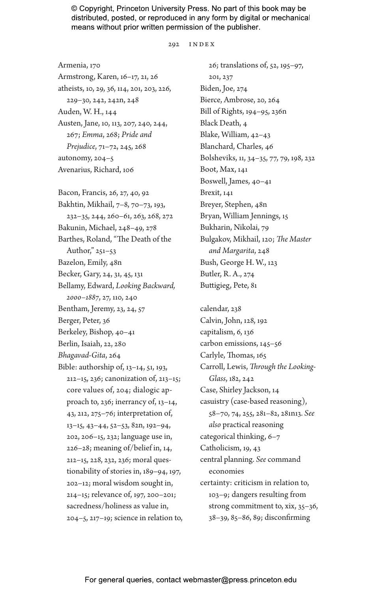#### 292 index

Armenia, 170 Armstrong, Karen, 16–17, 21, 26 atheists, 10, 29, 36, 114, 201, 203, 226, 229–30, 242, 242n, 248 Auden, W. H., 144 Austen, Jane, 10, 113, 207, 240, 244, 267; *Emma*, 268; *Pride and Prejudice*, 71–72, 245, 268 autonomy, 204–5 Avenarius, Richard, 106 Bacon, Francis, 26, 27, 40, 92 Bakhtin, Mikhail, 7–8, 70–73, 193, 232–35, 244, 260–61, 263, 268, 272 Bakunin, Michael, 248–49, 278 Barthes, Roland, "The Death of the Author," 251–53 Bazelon, Emily, 48n Becker, Gary, 24, 31, 45, 131 Bellamy, Edward, *Looking Backward, 2000–1887*, 27, 110, 240 Bentham, Jeremy, 23, 24, 57 Berger, Peter, 36 Berkeley, Bishop, 40–41 Berlin, Isaiah, 22, 280 *Bhagavad-Gita*, 264 Bible: authorship of, 13–14, 51, 193, 212–15, 236; canonization of, 213–15; core values of, 204; dialogic approach to, 236; inerrancy of, 13–14, 43, 212, 275–76; interpretation of, 13–15, 43–44, 52–53, 82n, 192–94, 202, 206–15, 232; language use in, 226–28; meaning of/belief in, 14, 212–15, 228, 232, 236; moral questionability of stories in, 189–94, 197, 202–12; moral wisdom sought in, 214–15; relevance of, 197, 200–201; sacredness/holiness as value in, 204–5, 217–19; science in relation to,

26; translations of, 52, 195–97, 201, 237 Biden, Joe, 274 Bierce, Ambrose, 20, 264 Bill of Rights, 194–95, 236n Black Death, 4 Blake, William, 42–43 Blanchard, Charles, 46 Bolsheviks, 11, 34–35, 77, 79, 198, 232 Boot, Max, 141 Boswell, James, 40–41 Brexit, 141 Breyer, Stephen, 48n Bryan, William Jennings, 15 Bukharin, Nikolai, 79 Bulgakov, Mikhail, 120; *The Master and Margarita*, 248 Bush, George H. W., 123 Butler, R. A., 274 Buttigieg, Pete, 81

calendar, 238 Calvin, John, 128, 192 capitalism, 6, 136 carbon emissions, 145–56 Carlyle, Thomas, 165 Carroll, Lewis, *Through the Looking-Glass*, 182, 242 Case, Shirley Jackson, 14 casuistry (case-based reasoning), 58–70, 74, 255, 281–82, 281n13. *See also* practical reasoning categorical thinking, 6–7 Catholicism, 19, 43 central planning. *See* command economies certainty: criticism in relation to, 103–9; dangers resulting from strong commitment to, xix, 35–36, 38–39, 85–86, 89; disconfirming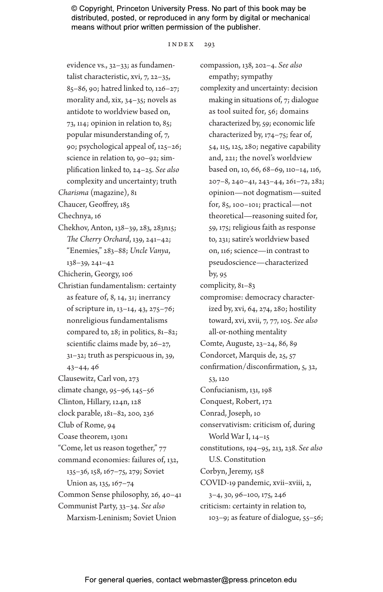index 293

evidence vs., 32–33; as fundamentalist characteristic, xvi, 7, 22–35, 85–86, 90; hatred linked to, 126–27; morality and, xix, 34–35; novels as antidote to worldview based on, 73, 114; opinion in relation to, 85; popular misunderstanding of, 7, 90; psychological appeal of, 125–26; science in relation to, 90–92; simplification linked to, 24–25. *See also* complexity and uncertainty; truth *Charisma* (magazine), 81 Chaucer, Geoffrey, 185 Chechnya, 16 Chekhov, Anton, 138–39, 283, 283n15; *The Cherry Orchard*, 139, 241–42; "Enemies," 283–88; *Uncle Vanya*, 138–39, 241–42 Chicherin, Georgy, 106 Christian fundamentalism: certainty as feature of, 8, 14, 31; inerrancy of scripture in, 13–14, 43, 275–76; nonreligious fundamentalisms compared to, 28; in politics, 81–82; scientific claims made by, 26–27, 31–32; truth as perspicuous in, 39, 43–44, 46 Clausewitz, Carl von, 273 climate change, 95–96, 145–56 Clinton, Hillary, 124n, 128 clock parable, 181–82, 200, 236 Club of Rome, 94 Coase theorem, 130n1 "Come, let us reason together," 77 command economies: failures of, 132, 135–36, 158, 167–75, 279; Soviet Union as, 135, 167–74 Common Sense philosophy, 26, 40–41 Communist Party, 33–34. *See also* Marxism-Leninism; Soviet Union

compassion, 138, 202–4. *See also* empathy; sympathy complexity and uncertainty: decision making in situations of, 7; dialogue as tool suited for, 56; domains characterized by, 59; economic life characterized by, 174–75; fear of, 54, 115, 125, 280; negative capability and, 221; the novel's worldview based on, 10, 66, 68–69, 110–14, 116, 207–8, 240–41, 243–44, 261–72, 282; opinion—not dogmatism—suited for, 85, 100–101; practical—not theoretical—reasoning suited for, 59, 175; religious faith as response to, 231; satire's worldview based on, 116; science—in contrast to pseudoscience—characterized by, 95 complicity, 81–83 compromise: democracy characterized by, xvi, 64, 274, 280; hostility toward, xvi, xvii, 7, 77, 105. *See also* all-or-nothing mentality Comte, Auguste, 23–24, 86, 89 Condorcet, Marquis de, 25, 57 confirmation/disconfirmation, 5, 32, 53, 120 Confucianism, 131, 198 Conquest, Robert, 172 Conrad, Joseph, 10 conservativism: criticism of, during World War I, 14–15 constitutions, 194–95, 213, 238. *See also* U.S. Constitution Corbyn, Jeremy, 158 COVID-19 pandemic, xvii–xviii, 2, 3–4, 30, 96–100, 175, 246 criticism: certainty in relation to, 103–9; as feature of dialogue, 55–56;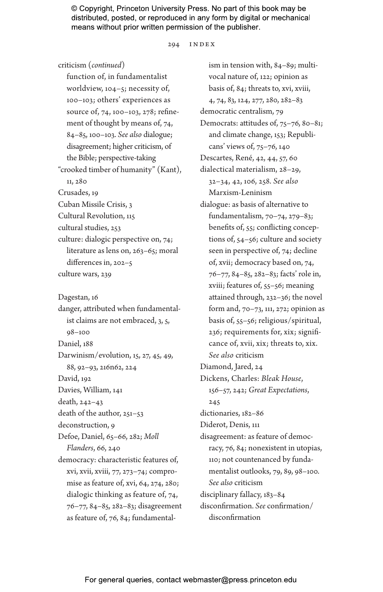294 index

criticism (*continued*) function of, in fundamentalist worldview, 104–5; necessity of, 100–103; others' experiences as source of, 74, 100–103, 278; refinement of thought by means of, 74, 84–85, 100–103. *See also* dialogue; disagreement; higher criticism, of the Bible; perspective-taking "crooked timber of humanity" (Kant), 11, 280 Crusades, 19 Cuban Missile Crisis, 3 Cultural Revolution, 115 cultural studies, 253 culture: dialogic perspective on, 74; literature as lens on, 263–65; moral differences in, 202–5 culture wars, 239

Dagestan, 16

danger, attributed when fundamentalist claims are not embraced, 3, 5, 98–100 Daniel, 188 Darwinism/evolution, 15, 27, 45, 49, 88, 92–93, 216n62, 224 David, 192 Davies, William, 141 death, 242–43 death of the author, 251–53 deconstruction, 9 Defoe, Daniel, 65–66, 282; *Moll Flanders*, 66, 240 democracy: characteristic features of, xvi, xvii, xviii, 77, 273–74; compromise as feature of, xvi, 64, 274, 280; dialogic thinking as feature of, 74, 76–77, 84–85, 282–83; disagreement as feature of, 76, 84; fundamental-

ism in tension with, 84–89; multivocal nature of, 122; opinion as basis of, 84; threats to, xvi, xviii, 4, 74, 83, 124, 277, 280, 282–83 democratic centralism, 79 Democrats: attitudes of, 75–76, 80–81; and climate change, 153; Republicans' views of, 75–76, 140 Descartes, René, 42, 44, 57, 60 dialectical materialism, 28–29, 32–34, 42, 106, 258. *See also* Marxism-Leninism dialogue: as basis of alternative to fundamentalism, 70–74, 279–83; benefits of, 55; conflicting conceptions of, 54–56; culture and society seen in perspective of, 74; decline of, xvii; democracy based on, 74, 76–77, 84–85, 282–83; facts' role in, xviii; features of, 55–56; meaning attained through, 232–36; the novel form and, 70–73, 111, 272; opinion as basis of, 55–56; religious/spiritual, 236; requirements for, xix; significance of, xvii, xix; threats to, xix. *See also* criticism Diamond, Jared, 24 Dickens, Charles: *Bleak House*, 156–57, 242; *Great Expectations*, 245 dictionaries, 182–86 Diderot, Denis, 111 disagreement: as feature of democracy, 76, 84; nonexistent in utopias, 110; not countenanced by fundamentalist outlooks, 79, 89, 98–100. *See also* criticism disciplinary fallacy, 183–84 disconfirmation. *See* confirmation/ disconfirmation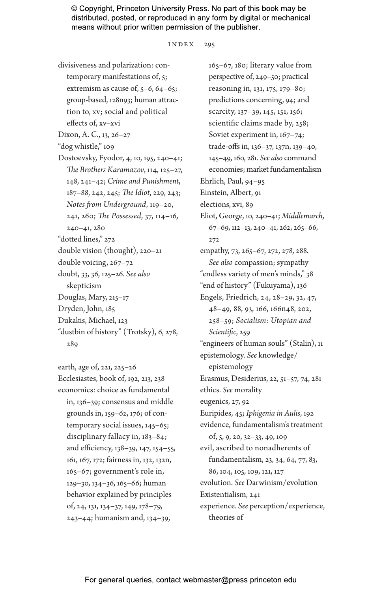index 295

divisiveness and polarization: contemporary manifestations of, 5; extremism as cause of,  $5-6$ ,  $64-65$ ; group-based, 128n93; human attraction to, xv; social and political effects of, xv–xvi

Dixon, A. C., 13, 26–27

- "dog whistle," 109
- Dostoevsky, Fyodor, 4, 10, 195, 240–41; *The Brothers Karamazov*, 114, 125–27, 148, 241–42; *Crime and Punishment*, 187–88, 242, 245; *The Idiot*, 229, 243; *Notes from Underground*, 119–20, 241, 260; *The Possessed*, 37, 114–16, 240–41, 280
- "dotted lines," 272
- double vision (thought), 220–21
- double voicing, 267–72
- doubt, 33, 36, 125–26. *See also* skepticism
- 
- Douglas, Mary, 215–17 Dryden, John, 185
- 
- Dukakis, Michael, 123
- "dustbin of history" (Trotsky), 6, 278, 289

earth, age of, 221, 225–26 Ecclesiastes, book of, 192, 213, 238 economics: choice as fundamental in, 136–39; consensus and middle grounds in, 159–62, 176; of contemporary social issues, 145–65; disciplinary fallacy in, 183–84; and efficiency, 138–39, 147, 154–55, 161, 167, 172; fairness in, 132, 132n, 165–67; government's role in, 129–30, 134–36, 165–66; human behavior explained by principles of, 24, 131, 134–37, 149, 178–79, 243–44; humanism and, 134–39,

165–67, 180; literary value from perspective of, 249–50; practical reasoning in, 131, 175, 179–80; predictions concerning, 94; and scarcity, 137–39, 145, 151, 156; scientific claims made by, 258; Soviet experiment in, 167-74; trade-offs in, 136–37, 137n, 139–40, 145–49, 160, 281. *See also* command economies; market fundamentalism Ehrlich, Paul, 94–95 Einstein, Albert, 91 elections, xvi, 89 Eliot, George, 10, 240–41; *Middlemarch*, 67–69, 112–13, 240–41, 262, 265–66, 272 empathy, 73, 265–67, 272, 278, 288. *See also* compassion; sympathy "endless variety of men's minds," 38 "end of history" (Fukuyama), 136 Engels, Friedrich, 24, 28–29, 32, 47, 48–49, 88, 93, 166, 166n48, 202, 258–59; *Socialism: Utopian and Scientific*, 259 "engineers of human souls" (Stalin), 11 epistemology. *See* knowledge/ epistemology Erasmus, Desiderius, 22, 51–57, 74, 281 ethics. *See* morality eugenics, 27, 92 Euripides, 45; *Iphigenia in Aulis*, 192 evidence, fundamentalism's treatment of, 5, 9, 20, 32–33, 49, 109 evil, ascribed to nonadherents of fundamentalism, 23, 34, 64, 77, 83, 86, 104, 105, 109, 121, 127 evolution. *See* Darwinism/evolution Existentialism, 241 experience. *See* perception/experience, theories of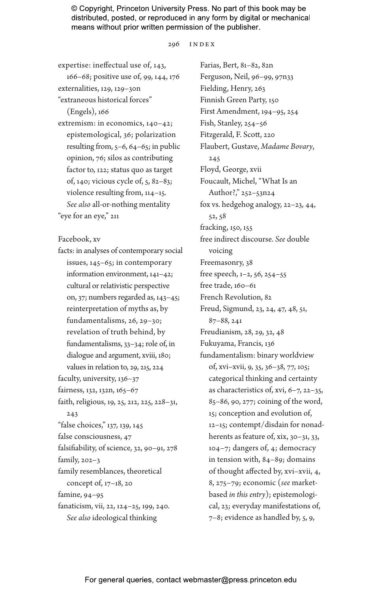296 index

expertise: ineffectual use of, 143, 166–68; positive use of, 99, 144, 176 externalities, 129, 129–30n "extraneous historical forces" (Engels), 166 extremism: in economics, 140–42; epistemological, 36; polarization resulting from,  $5-6$ ,  $64-65$ ; in public opinion, 76; silos as contributing factor to, 122; status quo as target of, 140; vicious cycle of, 5, 82–83; violence resulting from, 114–15. *See also* all-or-nothing mentality "eye for an eye," 211

Facebook, xv

facts: in analyses of contemporary social issues, 145–65; in contemporary information environment, 141–42; cultural or relativistic perspective on, 37; numbers regarded as, 143–45; reinterpretation of myths as, by fundamentalisms, 26, 29–30; revelation of truth behind, by fundamentalisms, 33–34; role of, in dialogue and argument, xviii, 180; values in relation to, 29, 215, 224 faculty, university, 136–37 fairness, 132, 132n, 165–67 faith, religious, 19, 25, 212, 225, 228–31, 243 "false choices," 137, 139, 145 false consciousness, 47 falsifiability, of science, 32, 90–91, 278 family,  $202 - 3$ family resemblances, theoretical concept of, 17–18, 20 famine, 94–95 fanaticism, vii, 22, 124–25, 199, 240. *See also* ideological thinking

Farias, Bert, 81–82, 82n Ferguson, Neil, 96–99, 97n33 Fielding, Henry, 263 Finnish Green Party, 150 First Amendment, 194–95, 254 Fish, Stanley, 254–56 Fitzgerald, F. Scott, 220 Flaubert, Gustave, *Madame Bovary*, 245 Floyd, George, xvii Foucault, Michel, "What Is an Author?," 252–53n24 fox vs. hedgehog analogy, 22–23, 44, 52, 58 fracking, 150, 155 free indirect discourse. *See* double voicing Freemasonry, 38 free speech, 1–2, 56, 254–55 free trade, 160–61 French Revolution, 82 Freud, Sigmund, 23, 24, 47, 48, 51, 87–88, 241 Freudianism, 28, 29, 32, 48 Fukuyama, Francis, 136 fundamentalism: binary worldview of, xvi–xvii, 9, 35, 36–38, 77, 105; categorical thinking and certainty as characteristics of, xvi, 6–7, 22–35, 85–86, 90, 277; coining of the word, 15; conception and evolution of, 12–15; contempt/disdain for nonadherents as feature of, xix, 30–31, 33, 104–7; dangers of, 4; democracy in tension with, 84–89; domains of thought affected by, xvi–xvii, 4, 8, 275–79; economic (*see* marketbased *in this entry*); epistemological, 23; everyday manifestations of, 7–8; evidence as handled by, 5, 9,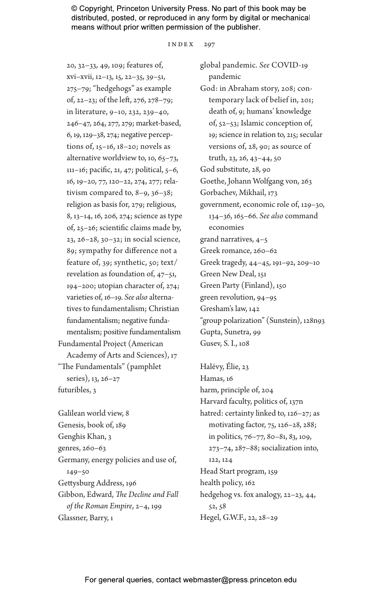index 297

20, 32–33, 49, 109; features of, xvi–xvii, 12–13, 15, 22–35, 39–51, 275–79; "hedgehogs" as example of, 22–23; of the left, 276, 278–79; in literature, 9–10, 232, 239–40, 246–47, 264, 277, 279; market-based, 6, 19, 129–38, 274; negative perceptions of, 15–16, 18–20; novels as alternative worldview to, 10, 65–73, 111–16; pacific, 21, 47; political, 5–6, 16, 19–20, 77, 120–22, 274, 277; relativism compared to, 8–9, 36–38; religion as basis for, 279; religious, 8, 13–14, 16, 206, 274; science as type of, 25–26; scientific claims made by, 23, 26–28, 30–32; in social science, 89; sympathy for difference not a feature of, 39; synthetic, 50; text/ revelation as foundation of, 47–51, 194–200; utopian character of, 274; varieties of, 16–19. *See also* alternatives to fundamentalism; Christian fundamentalism; negative fundamentalism; positive fundamentalism Fundamental Project (American Academy of Arts and Sciences), 17 "The Fundamentals" (pamphlet series), 13, 26–27 futuribles, 3

Galilean world view, 8 Genesis, book of, 189 Genghis Khan, 3 genres, 260–63 Germany, energy policies and use of, 149–50 Gettysburg Address, 196 Gibbon, Edward, *The Decline and Fall of the Roman Empire*, 2–4, 199 Glassner, Barry, 1

global pandemic. *See* COVID-19 pandemic God: in Abraham story, 208; contemporary lack of belief in, 201; death of, 9; humans' knowledge of, 52–53; Islamic conception of, 19; science in relation to, 215; secular versions of, 28, 90; as source of truth, 23, 26, 43–44, 50 God substitute, 28, 90 Goethe, Johann Wolfgang von, 263 Gorbachev, Mikhail, 173 government, economic role of, 129–30, 134–36, 165–66. *See also* command economies grand narratives, 4–5 Greek romance, 260–62 Greek tragedy, 44–45, 191–92, 209–10 Green New Deal, 151 Green Party (Finland), 150 green revolution, 94–95 Gresham's law, 142 "group polarization" (Sunstein), 128n93 Gupta, Sunetra, 99 Gusev, S. I., 108

Halévy, Élie, 23 Hamas, 16 harm, principle of, 204 Harvard faculty, politics of, 137n hatred: certainty linked to, 126–27; as motivating factor, 75, 126–28, 288; in politics, 76–77, 80–81, 83, 109, 273–74, 287–88; socialization into, 122, 124 Head Start program, 159 health policy, 162 hedgehog vs. fox analogy, 22–23, 44, 52, 58 Hegel, G.W.F., 22, 28–29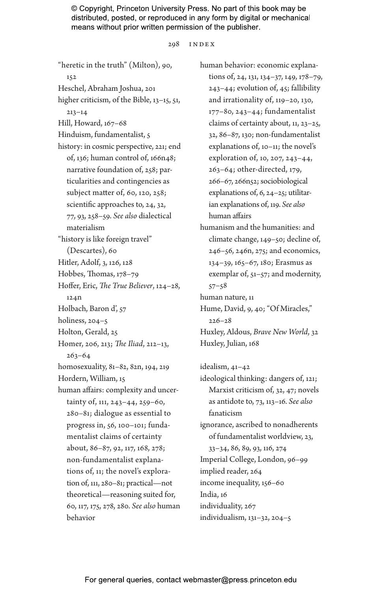298 index

"heretic in the truth" (Milton), 90,  $152$ Heschel, Abraham Joshua, 201 higher criticism, of the Bible, 13-15, 51, 213–14 Hill, Howard, 167–68 Hinduism, fundamentalist, 5 history: in cosmic perspective, 221; end of, 136; human control of, 166n48; narrative foundation of, 258; particularities and contingencies as subject matter of, 60, 120, 258; scientific approaches to, 24, 32, 77, 93, 258–59. *See also* dialectical materialism "history is like foreign travel" (Descartes), 60 Hitler, Adolf, 3, 126, 128 Hobbes, Thomas, 178–79 Hoffer, Eric, *The True Believer*, 124–28, 124n Holbach, Baron d', 57 holiness, 204–5 Holton, Gerald, 25 Homer, 206, 213; *The Iliad*, 212–13, 263–64 homosexuality, 81–82, 82n, 194, 219 Hordern, William, 15 human affairs: complexity and uncertainty of, 111, 243–44, 259–60, 280–81; dialogue as essential to progress in, 56, 100–101; fundamentalist claims of certainty about, 86–87, 92, 117, 168, 278; non-fundamentalist explanations of, 11; the novel's exploration of, 111, 280–81; practical—not theoretical—reasoning suited for, 60, 117, 175, 278, 280. *See also* human behavior

human behavior: economic explanations of, 24, 131, 134–37, 149, 178–79, 243–44; evolution of, 45; fallibility and irrationality of, 119–20, 130, 177–80, 243–44; fundamentalist claims of certainty about, 11, 23–25, 32, 86–87, 130; non-fundamentalist explanations of, 10–11; the novel's exploration of, 10, 207, 243–44, 263–64; other-directed, 179, 266–67, 266n52; sociobiological explanations of, 6, 24–25; utilitarian explanations of, 119. *See also* human affairs humanism and the humanities: and

climate change, 149–50; decline of, 246–56, 246n, 275; and economics, 134–39, 165–67, 180; Erasmus as exemplar of, 51–57; and modernity, 57–58 human nature, 11

Hume, David, 9, 40; "Of Miracles,"  $226 - 28$ Huxley, Aldous, *Brave New World*, 32 Huxley, Julian, 168

idealism, 41–42 ideological thinking: dangers of, 121; Marxist criticism of, 32, 47; novels as antidote to, 73, 113–16. *See also* fanaticism ignorance, ascribed to nonadherents of fundamentalist worldview, 23, 33–34, 86, 89, 93, 116, 274 Imperial College, London, 96–99 implied reader, 264 income inequality, 156–60 India, 16 individuality, 267 individualism, 131–32, 204–5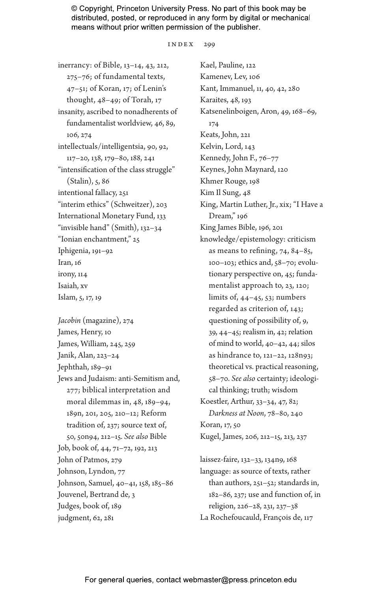index 299

inerrancy: of Bible, 13–14, 43, 212, 275–76; of fundamental texts, 47–51; of Koran, 17; of Lenin's thought, 48–49; of Torah, 17 insanity, ascribed to nonadherents of fundamentalist worldview, 46, 89, 106, 274 intellectuals/intelligentsia, 90, 92, 117–20, 138, 179–80, 188, 241 "intensification of the class struggle" (Stalin), 5, 86 intentional fallacy, 251 "interim ethics" (Schweitzer), 203 International Monetary Fund, 133 "invisible hand" (Smith), 132–34 "Ionian enchantment," 25 Iphigenia, 191–92 Iran, 16 irony, 114 Isaiah, xv Islam, 5, 17, 19

*Jacobin* (magazine), 274 James, Henry, 10 James, William, 245, 259 Janik, Alan, 223–24 Jephthah, 189–91 Jews and Judaism: anti-Semitism and, 277; biblical interpretation and moral dilemmas in, 48, 189–94, 189n, 201, 205, 210–12; Reform tradition of, 237; source text of, 50, 50n94, 212–15. *See also* Bible Job, book of, 44, 71–72, 192, 213 John of Patmos, 279 Johnson, Lyndon, 77 Johnson, Samuel, 40–41, 158, 185–86 Jouvenel, Bertrand de, 3 Judges, book of, 189 judgment, 62, 281

Kael, Pauline, 122 Kamenev, Lev, 106 Kant, Immanuel, 11, 40, 42, 280 Karaites, 48, 193 Katsenelinboigen, Aron, 49, 168–69, 174 Keats, John, 221 Kelvin, Lord, 143 Kennedy, John F., 76–77 Keynes, John Maynard, 120 Khmer Rouge, 198 Kim Il Sung, 48 King, Martin Luther, Jr., xix; "I Have a Dream," 196 King James Bible, 196, 201 knowledge/epistemology: criticism as means to refining, 74, 84–85, 100–103; ethics and, 58–70; evolutionary perspective on, 45; fundamentalist approach to, 23, 120; limits of, 44–45, 53; numbers regarded as criterion of, 143; questioning of possibility of, 9, 39, 44–45; realism in, 42; relation of mind to world, 40–42, 44; silos as hindrance to, 121–22, 128n93; theoretical vs. practical reasoning, 58–70. *See also* certainty; ideological thinking; truth; wisdom Koestler, Arthur, 33–34, 47, 82; *Darkness at Noon*, 78–80, 240 Koran, 17, 50 Kugel, James, 206, 212–15, 213, 237

laissez-faire, 132–33, 134n9, 168 language: as source of texts, rather than authors, 251–52; standards in, 182–86, 237; use and function of, in religion, 226–28, 231, 237–38 La Rochefoucauld, François de, 117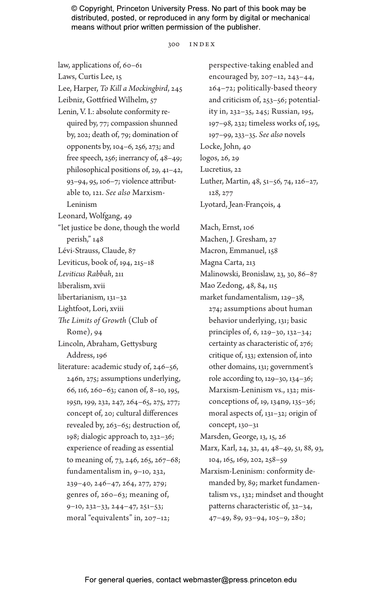#### 300 index

law, applications of, 60–61 Laws, Curtis Lee, 15 Lee, Harper, *To Kill a Mockingbird*, 245 Leibniz, Gottfried Wilhelm, 57 Lenin, V. I.: absolute conformity required by, 77; compassion shunned by, 202; death of, 79; domination of opponents by, 104–6, 256, 273; and free speech, 256; inerrancy of, 48–49; philosophical positions of, 29, 41–42, 93–94, 95, 106–7; violence attributable to, 121. *See also* Marxism-Leninism Leonard, Wolfgang, 49 "let justice be done, though the world perish," 148 Lévi-Strauss, Claude, 87 Leviticus, book of, 194, 215–18 *Leviticus Rabbah*, 211 liberalism, xvii libertarianism, 131–32 Lightfoot, Lori, xviii *The Limits of Growth* (Club of Rome), 94 Lincoln, Abraham, Gettysburg Address, 196 literature: academic study of, 246–56, 246n, 275; assumptions underlying, 66, 116, 260–63; canon of, 8–10, 195, 195n, 199, 232, 247, 264–65, 275, 277; concept of, 20; cultural differences revealed by, 263–65; destruction of, 198; dialogic approach to, 232–36; experience of reading as essential to meaning of, 73, 246, 265, 267–68; fundamentalism in, 9–10, 232, 239–40, 246–47, 264, 277, 279; genres of, 260–63; meaning of, 9–10, 232–33, 244–47, 251–53; moral "equivalents" in, 207–12;

perspective-taking enabled and encouraged by, 207–12, 243–44, 264–72; politically-based theory and criticism of, 253–56; potentiality in, 232–35, 245; Russian, 195, 197–98, 232; timeless works of, 195, 197–99, 233–35. *See also* novels Locke, John, 40 logos, 26, 29 Lucretius, 22 Luther, Martin, 48, 51–56, 74, 126–27, 128, 277 Lyotard, Jean-François, 4

Mach, Ernst, 106 Machen, J. Gresham, 27 Macron, Emmanuel, 158 Magna Carta, 213 Malinowski, Bronislaw, 23, 30, 86–87 Mao Zedong, 48, 84, 115 market fundamentalism, 129–38, 274; assumptions about human behavior underlying, 131; basic principles of, 6, 129–30, 132–34; certainty as characteristic of, 276; critique of, 133; extension of, into other domains, 131; government's role according to, 129–30, 134–36; Marxism-Leninism vs., 132; misconceptions of, 19, 134n9, 135–36; moral aspects of, 131–32; origin of concept, 130–31 Marsden, George, 13, 15, 26 Marx, Karl, 24, 32, 41, 48–49, 51, 88, 93, 104, 165, 169, 202, 258–59 Marxism-Leninism: conformity demanded by, 89; market fundamentalism vs., 132; mindset and thought patterns characteristic of, 32–34, 47–49, 89, 93–94, 105–9, 280;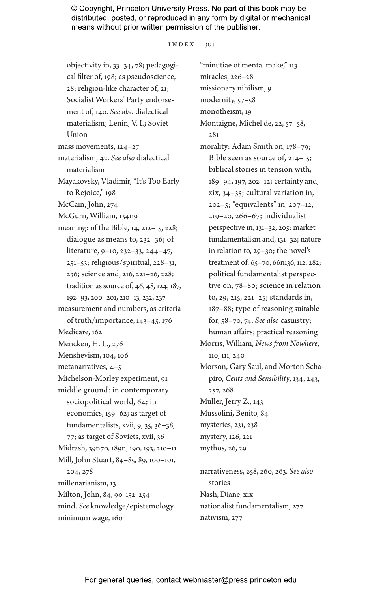index 301

objectivity in, 33–34, 78; pedagogical filter of, 198; as pseudoscience, 28; religion-like character of, 21; Socialist Workers' Party endorsement of, 140. *See also* dialectical materialism; Lenin, V. I.; Soviet Union mass movements, 124–27 materialism, 42. *See also* dialectical materialism Mayakovsky, Vladimir, "It's Too Early to Rejoice," 198 McCain, John, 274 McGurn, William, 134n9 meaning: of the Bible, 14, 212–15, 228; dialogue as means to, 232–36; of literature, 9–10, 232–33, 244–47, 251–53; religious/spiritual, 228–31, 236; science and, 216, 221–26, 228; tradition as source of, 46, 48, 124, 187, 192–93, 200–201, 210–13, 232, 237 measurement and numbers, as criteria of truth/importance, 143–45, 176 Medicare, 162 Mencken, H. L., 276 Menshevism, 104, 106 metanarratives, 4–5 Michelson-Morley experiment, 91 middle ground: in contemporary sociopolitical world, 64; in economics, 159–62; as target of fundamentalists, xvii, 9, 35, 36–38, 77; as target of Soviets, xvii, 36 Midrash, 39n70, 189n, 190, 193, 210–11 Mill, John Stuart, 84–85, 89, 100–101, 204, 278 millenarianism, 13 Milton, John, 84, 90, 152, 254 mind. *See* knowledge/epistemology minimum wage, 160

"minutiae of mental make," 113 miracles, 226–28 missionary nihilism, 9 modernity, 57–58 monotheism, 19 Montaigne, Michel de, 22, 57–58, 281 morality: Adam Smith on, 178–79; Bible seen as source of, 214–15; biblical stories in tension with, 189–94, 197, 202–12; certainty and, xix, 34–35; cultural variation in, 202–5; "equivalents" in, 207–12, 219–20, 266–67; individualist perspective in, 131–32, 205; market fundamentalism and, 131–32; nature in relation to, 29–30; the novel's treatment of, 65–70, 66n136, 112, 282; political fundamentalist perspective on, 78–80; science in relation to, 29, 215, 221–25; standards in, 187–88; type of reasoning suitable for, 58–70, 74. *See also* casuistry; human affairs; practical reasoning Morris, William, *News from Nowhere*, 110, 111, 240 Morson, Gary Saul, and Morton Schapiro, *Cents and Sensibility*, 134, 243, 257, 268 Muller, Jerry Z., 143 Mussolini, Benito, 84 mysteries, 231, 238 mystery, 126, 221 mythos, 26, 29 narrativeness, 258, 260, 263. *See also*

stories Nash, Diane, xix nationalist fundamentalism, 277 nativism, 277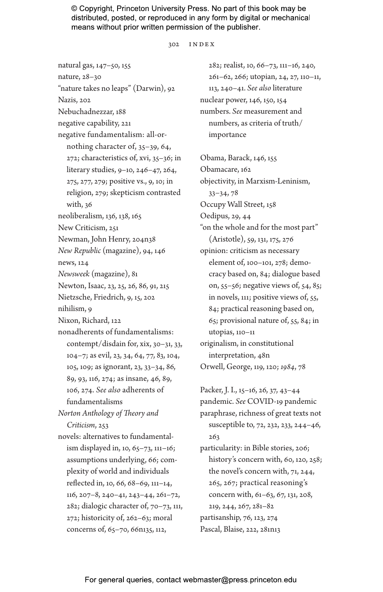302 index

natural gas, 147–50, 155 nature, 28–30 "nature takes no leaps" (Darwin), 92 Nazis, 202 Nebuchadnezzar, 188 negative capability, 221 negative fundamentalism: all-ornothing character of, 35–39, 64, 272; characteristics of, xvi, 35–36; in literary studies, 9–10, 246–47, 264, 275, 277, 279; positive vs., 9, 10; in religion, 279; skepticism contrasted with, 36 neoliberalism, 136, 138, 165 New Criticism, 251 Newman, John Henry, 204n38 *New Republic* (magazine), 94, 146 news, 124 *Newsweek* (magazine), 81 Newton, Isaac, 23, 25, 26, 86, 91, 215 Nietzsche, Friedrich, 9, 15, 202 nihilism, 9 Nixon, Richard, 122 nonadherents of fundamentalisms: contempt/disdain for, xix, 30–31, 33, 104–7; as evil, 23, 34, 64, 77, 83, 104, 105, 109; as ignorant, 23, 33–34, 86, 89, 93, 116, 274; as insane, 46, 89, 106, 274. *See also* adherents of fundamentalisms *Norton Anthology of Theory and Criticism*, 253 novels: alternatives to fundamentalism displayed in, 10, 65–73, 111–16; assumptions underlying, 66; complexity of world and individuals reflected in, 10, 66, 68–69, 111–14, 116, 207–8, 240–41, 243–44, 261–72, 282; dialogic character of, 70–73, 111, 272; historicity of, 262–63; moral concerns of, 65–70, 66n135, 112,

282; realist, 10, 66–73, 111–16, 240, 261–62, 266; utopian, 24, 27, 110–11, 113, 240–41. *See also* literature nuclear power, 146, 150, 154 numbers. *See* measurement and numbers, as criteria of truth/ importance

Obama, Barack, 146, 155 Obamacare, 162 objectivity, in Marxism-Leninism, 33–34, 78 Occupy Wall Street, 158 Oedipus, 29, 44 "on the whole and for the most part" (Aristotle), 59, 131, 175, 276 opinion: criticism as necessary element of, 100–101, 278; democracy based on, 84; dialogue based on, 55–56; negative views of, 54, 85; in novels, 111; positive views of, 55, 84; practical reasoning based on, 65; provisional nature of, 55, 84; in utopias, 110–11 originalism, in constitutional interpretation, 48n Orwell, George, 119, 120; *1984*, 78

Packer, J. I., 15–16, 26, 37, 43–44 pandemic. *See* COVID-19 pandemic paraphrase, richness of great texts not susceptible to, 72, 232, 233, 244–46, 263 particularity: in Bible stories, 206;

history's concern with, 60, 120, 258; the novel's concern with, 71, 244, 265, 267; practical reasoning's concern with, 61–63, 67, 131, 208, 219, 244, 267, 281–82 partisanship, 76, 123, 274 Pascal, Blaise, 222, 281n13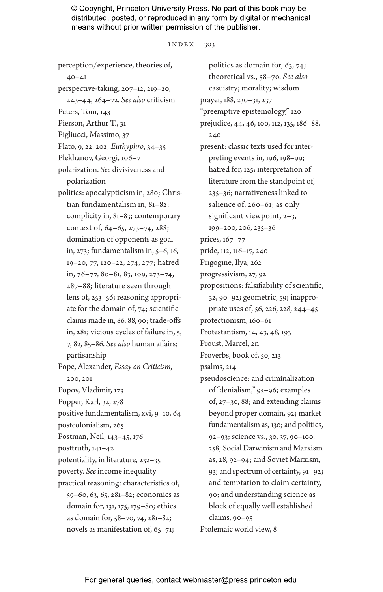index 303

perception/experience, theories of, 40–41 perspective-taking, 207–12, 219–20, 243–44, 264–72. *See also* criticism Peters, Tom, 143 Pierson, Arthur T., 31 Pigliucci, Massimo, 37 Plato, 9, 22, 202; *Euthyphro*, 34–35 Plekhanov, Georgi, 106–7 polarization. *See* divisiveness and polarization politics: apocalypticism in, 280; Christian fundamentalism in, 81–82; complicity in, 81–83; contemporary context of, 64–65, 273–74, 288; domination of opponents as goal in, 273; fundamentalism in, 5–6, 16, 19–20, 77, 120–22, 274, 277; hatred in, 76–77, 80–81, 83, 109, 273–74, 287–88; literature seen through lens of, 253–56; reasoning appropriate for the domain of, 74; scientific claims made in, 86, 88, 90; trade-offs in, 281; vicious cycles of failure in, 5, 7, 82, 85–86. *See also* human affairs; partisanship Pope, Alexander, *Essay on Criticism*, 200, 201 Popov, Vladimir, 173 Popper, Karl, 32, 278 positive fundamentalism, xvi, 9–10, 64 postcolonialism, 265 Postman, Neil, 143–45, 176 posttruth, 141–42 potentiality, in literature, 232–35 poverty. *See* income inequality practical reasoning: characteristics of, 59–60, 63, 65, 281–82; economics as domain for, 131, 175, 179–80; ethics as domain for, 58–70, 74, 281–82; novels as manifestation of, 65–71;

politics as domain for, 63, 74; theoretical vs., 58–70. *See also* casuistry; morality; wisdom prayer, 188, 230–31, 237 "preemptive epistemology," 120 prejudice, 44, 46, 100, 112, 135, 186–88, 240 present: classic texts used for interpreting events in, 196, 198–99; hatred for, 125; interpretation of literature from the standpoint of, 235–36; narrativeness linked to salience of, 260–61; as only significant viewpoint, 2–3, 199–200, 206, 235–36 prices, 167–77 pride, 112, 116–17, 240 Prigogine, Ilya, 262 progressivism, 27, 92 propositions: falsifiability of scientific, 32, 90–92; geometric, 59; inappropriate uses of, 56, 226, 228, 244–45 protectionism, 160–61 Protestantism, 14, 43, 48, 193 Proust, Marcel, 2n Proverbs, book of, 50, 213 psalms, 214 pseudoscience: and criminalization of "denialism," 95–96; examples of, 27–30, 88; and extending claims beyond proper domain, 92; market fundamentalism as, 130; and politics, 92–93; science vs., 30, 37, 90–100, 258; Social Darwinism and Marxism as, 28, 92–94; and Soviet Marxism, 93; and spectrum of certainty, 91–92; and temptation to claim certainty, 90; and understanding science as block of equally well established claims, 90–95 Ptolemaic world view, 8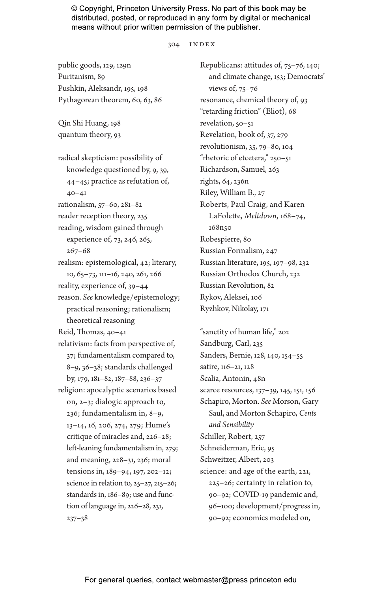304 index

Pushkin, Aleksandr, 195, 198 Pythagorean theorem, 60, 63, 86 Qin Shi Huang, 198 quantum theory, 93 radical skepticism: possibility of knowledge questioned by, 9, 39, 44–45; practice as refutation of,  $40 - 41$ rationalism, 57–60, 281–82 reader reception theory, 235 reading, wisdom gained through experience of, 73, 246, 265, 267–68 realism: epistemological, 42; literary, 10, 65–73, 111–16, 240, 261, 266 reality, experience of, 39–44 reason. *See* knowledge/epistemology; practical reasoning; rationalism; theoretical reasoning Reid, Thomas, 40–41 relativism: facts from perspective of, 37; fundamentalism compared to, 8–9, 36–38; standards challenged by, 179, 181–82, 187–88, 236–37 religion: apocalyptic scenarios based on, 2–3; dialogic approach to, 236; fundamentalism in, 8–9, 13–14, 16, 206, 274, 279; Hume's critique of miracles and, 226–28; left-leaning fundamentalism in, 279; and meaning, 228–31, 236; moral tensions in, 189–94, 197, 202–12; science in relation to, 25–27, 215–26; standards in, 186–89; use and function of language in, 226–28, 231, 237–38

public goods, 129, 129n Puritanism, 89

Republicans: attitudes of, 75–76, 140; and climate change, 153; Democrats' views of, 75–76 resonance, chemical theory of, 93 "retarding friction" (Eliot), 68 revelation, 50–51 Revelation, book of, 37, 279 revolutionism, 35, 79–80, 104 "rhetoric of etcetera," 250–51 Richardson, Samuel, 263 rights, 64, 236n Riley, William B., 27 Roberts, Paul Craig, and Karen LaFolette, *Meltdown*, 168–74, 168n50 Robespierre, 80 Russian Formalism, 247 Russian literature, 195, 197–98, 232 Russian Orthodox Church, 232 Russian Revolution, 82 Rykov, Aleksei, 106 Ryzhkov, Nikolay, 171

"sanctity of human life," 202 Sandburg, Carl, 235 Sanders, Bernie, 128, 140, 154–55 satire, 116–21, 128 Scalia, Antonin, 48n scarce resources, 137–39, 145, 151, 156 Schapiro, Morton. *See* Morson, Gary Saul, and Morton Schapiro, *Cents and Sensibility* Schiller, Robert, 257 Schneiderman, Eric, 95 Schweitzer, Albert, 203 science: and age of the earth, 221, 225–26; certainty in relation to, 90–92; COVID-19 pandemic and, 96–100; development/progress in, 90–92; economics modeled on,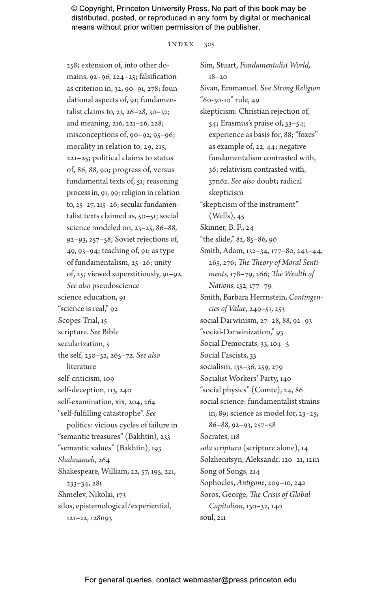index 305

258; extension of, into other domains, 92–96, 224–25; falsification as criterion in, 32, 90–91, 278; foundational aspects of, 91; fundamentalist claims to, 23, 26–28, 30–32; and meaning, 216, 221–26, 228; misconceptions of, 90–92, 95–96; morality in relation to, 29, 215, 221–25; political claims to status of, 86, 88, 90; progress of, versus fundamental texts of, 51; reasoning process in, 91, 99; religion in relation to, 25–27, 215–26; secular fundamentalist texts claimed as, 50–51; social science modeled on, 23–25, 86–88, 92–93, 257–58; Soviet rejections of, 49, 93–94; teaching of, 91; as type of fundamentalism, 25–26; unity of, 25; viewed superstitiously, 91–92. *See also* pseudoscience science education, 91 "science is real," 92 Scopes Trial, 15 scripture. *See* Bible secularization, 5 the self, 250–52, 265–72. *See also* literature self-criticism, 109 self-deception, 113, 240 self-examination, xix, 204, 264 "self-fulfilling catastrophe". *See* politics: vicious cycles of failure in "semantic treasures" (Bakhtin), 233 "semantic values" (Bakhtin), 193 *Shahnameh*, 264 Shakespeare, William, 22, 57, 195, 221, 233–34, 281 Shmelev, Nikolai, 173 silos, epistemological/experiential, 121–22, 128n93

Sim, Stuart, *Fundamentalist World,*  18–20 Sivan, Emmanuel. See *Strong Religion* "60-30-10" rule, 49 skepticism: Christian rejection of, 54; Erasmus's praise of, 53–54; experience as basis for, 88; "foxes" as example of, 22, 44; negative fundamentalism contrasted with, 36; relativism contrasted with, 37n62. *See also* doubt; radical skepticism "skepticism of the instrument" (Wells), 45 Skinner, B. F., 24 "the slide," 82, 85–86, 96 Smith, Adam, 132–34, 177–80, 243–44, 265, 276; *The Theory of Moral Sentiments*, 178–79, 266; *The Wealth of Nations*, 132, 177–79 Smith, Barbara Herrnstein, *Contingencies of Value*, 249–51, 253 social Darwinism, 27–28, 88, 92–93 "social-Darwinization," 93 Social Democrats, 33, 104–5 Social Fascists, 33 socialism, 135–36, 259, 279 Socialist Workers' Party, 140 "social physics" (Comte), 24, 86 social science: fundamentalist strains in, 89; science as model for, 23–25, 86–88, 92–93, 257–58 Socrates, 118 *sola scriptura* (scripture alone), 14 Solzhenitsyn, Aleksandr, 120–21, 121n Song of Songs, 214 Sophocles, *Antigone*, 209–10, 242 Soros, George, *The Crisis of Global Capitalism*, 130–32, 140 soul, 211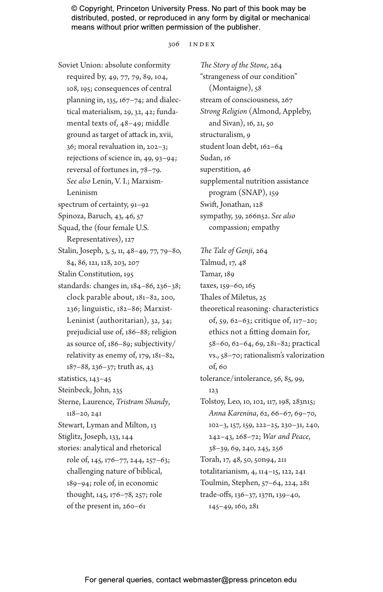#### 306 index

Soviet Union: absolute conformity required by, 49, 77, 79, 89, 104, 108, 195; consequences of central planning in, 135, 167–74; and dialectical materialism, 29, 32, 42; fundamental texts of, 48–49; middle ground as target of attack in, xvii, 36; moral revaluation in, 202–3; rejections of science in, 49, 93–94; reversal of fortunes in, 78–79. *See also* Lenin, V. I.; Marxism-Leninism spectrum of certainty, 91–92 Spinoza, Baruch, 43, 46, 57 Squad, the (four female U.S. Representatives), 127 Stalin, Joseph, 3, 5, 11, 48–49, 77, 79–80, 84, 86, 121, 128, 203, 207 Stalin Constitution, 195 standards: changes in, 184–86, 236–38; clock parable about, 181–82, 200, 236; linguistic, 182–86; Marxist-Leninist (authoritarian), 32, 34; prejudicial use of, 186–88; religion as source of, 186–89; subjectivity/ relativity as enemy of, 179, 181–82, 187–88, 236–37; truth as, 43 statistics, 143–45 Steinbeck, John, 235 Sterne, Laurence, *Tristram Shandy*, 118–20, 241 Stewart, Lyman and Milton, 13 Stiglitz, Joseph, 133, 144 stories: analytical and rhetorical role of, 145, 176–77, 244, 257–63; challenging nature of biblical, 189–94; role of, in economic thought, 145, 176–78, 257; role of the present in, 260–61

*The Story of the Stone*, 264 "strangeness of our condition" (Montaigne), 58 stream of consciousness, 267 *Strong Religion* (Almond, Appleby, and Sivan), 16, 21, 50 structuralism, 9 student loan debt, 162–64 Sudan, 16 superstition, 46 supplemental nutrition assistance program (SNAP), 159 Swift, Jonathan, 128 sympathy, 39, 266n52. *See also* compassion; empathy

*The Tale of Genji*, 264 Talmud, 17, 48 Tamar, 189 taxes, 159–60, 165 Thales of Miletus, 25 theoretical reasoning: characteristics of, 59, 62–63; critique of, 117–20; ethics not a fitting domain for, 58–60, 62–64, 69, 281–82; practical vs., 58–70; rationalism's valorization of, 60 tolerance/intolerance, 56, 85, 99, 123 Tolstoy, Leo, 10, 102, 117, 198, 283n15; *Anna Karenina*, 62, 66–67, 69–70, 102–3, 157, 159, 222–25, 230–31, 240, 242–43, 268–72; *War and Peace*, 38–39, 69, 240, 245, 256 Torah, 17, 48, 50, 50n94, 211 totalitarianism, 4, 114–15, 122, 241 Toulmin, Stephen, 57–64, 224, 281 trade-offs, 136–37, 137n, 139–40, 145–49, 160, 281